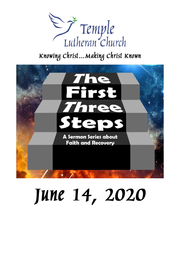

## Knowing Christ... Making Christ Known



# June 14, 2020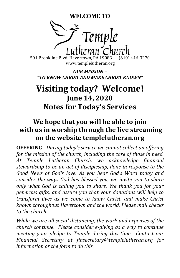**WELCOME TO**



501 Brookline Blvd, Havertown, PA 19083 — (610) 446-3270 www.templelutheran.org

*OUR MISSION – "TO KNOW CHRIST AND MAKE CHRIST KNOWN"*

## **Visiting today? Welcome! June 14, 2020 Notes for Today's Services**

### **We hope that you will be able to join with us in worship through the live streaming on the website templelutheran.org**

**OFFERING** *- During today's service we cannot collect an offering for the mission of the church, including the care of those in need. At Temple Lutheran Church, we acknowledge financial stewardship to be an act of discipleship, done in response to the Good News of God's love. As you hear God's Word today and consider the ways God has blessed you, we invite you to share only what God is calling you to share. We thank you for your generous gifts, and assure you that your donations will help to transform lives as we come to know Christ, and make Christ known throughout Havertown and the world. Please mail checks to the church.*

*While we are all social distancing, the work and expenses of the church continue. Please consider e-giving as a way to continue meeting your pledge to Temple during this time. Contact our Financial Secretary at finsecretary@templelutheran.org for information or the form to do this.*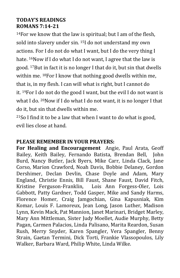#### **TODAY'S READINGS ROMANS 7:14-21**

<sup>14</sup>For we know that the law is spiritual; but I am of the flesh, sold into slavery under sin. <sup>15</sup>I do not understand my own actions. For I do not do what I want, but I do the very thing I hate. <sup>16</sup>Now if I do what I do not want, I agree that the law is good. <sup>17</sup>But in fact it is no longer I that do it, but sin that dwells within me. <sup>18</sup>For I know that nothing good dwells within me, that is, in my flesh. I can will what is right, but I cannot do it. <sup>19</sup>For I do not do the good I want, but the evil I do not want is what I do. <sup>20</sup>Now if I do what I do not want, it is no longer I that do it, but sin that dwells within me.

 $21$ So I find it to be a law that when I want to do what is good, evil lies close at hand.

#### **PLEASE REMEMBER IN YOUR PRAYERS:**

**For Healing and Encouragement** Angie, Paul Arata, Geoff Bailey, Keith Bailey, Fernando Batista, Brendan Bell, John Burd, Nancy Butler, Jack Byers, Mike Carr, Linda Clack, Jane Corso, Marion Crawford, Noah Davis, Bobbie Delaney, Gordon Dershimer, Declan Devlin, Chase Doyle and Adam, Mary England, Christie Ennis, Bill Faust, Shane Faust, David Fitch, Kristine Ferguson-Franklin, Lois Ann Forgess-Oler, Lois Gabbott, Patty Gardner, Todd Gasper, Mike and Sandy Harms, Florence Homer, Craig Jamgochian, Gina Kapusniak, Kim Komar, Louis F. Lamoreux, Jean Long, Jason Luther, Madison Lynn, Kevin Mack, Pat Mannion, Janet Marinari, Bridget Marley, Mary Ann Mittleman, Sister Judy Moellet, Audie Murphy, Betty Pagan, Carmen Palacios, Linda Palisano, Marita Reardon, Susan Rush, Merry Snyder, Karen Spangler, Vera Spangler, Benny Strain, Gaetan Termini, Dick Torti, Frankie Vlassopoulos, Lily Walker, Barbara Ward, Philip White, Linda Wilke.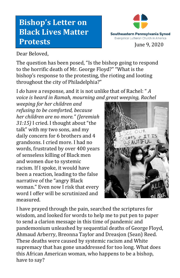## **Bishop's Letter on Black Lives Matter Protests**



Dear Beloved,

The question has been posed, "Is the bishop going to respond to the horrific death of Mr. George Floyd?" "What is the bishop's response to the protesting, the rioting and looting throughout the city of Philadelphia?"

I *do* have a response, and it is not unlike that of Rachel: " *A voice is heard in Ramah, mourning and great weeping, Rachel* 

*weeping for her children and refusing to be comforted, because her children are no more." (Jeremiah 31:15)* I cried. I thought about "the talk" with my two sons, and my daily concern for 6 brothers and 4 grandsons. I cried more. I had no words, frustrated by over 400 years of senseless killing of Black men and women due to systemic racism. If I spoke, it would have been a reaction, leading to the false narrative of the "angry Black woman." Even now I risk that every word I offer will be scrutinized and measured.



I have prayed through the pain, searched the scriptures for wisdom, and looked for words to help me to put pen to paper to send a clarion message in this time of pandemic and pandemonium unleashed by sequential deaths of George Floyd, Ahmaud Arberry, Breonna Taylor and Dreasjon (Sean) Reed. These deaths were caused by systemic racism and White supremacy that has gone unaddressed for too long. What does this African American woman, who happens to be a bishop, have to say?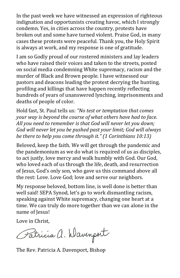In the past week we have witnessed an expression of righteous indignation and opportunists creating havoc, which I strongly condemn. Yes, in cities across the country, protests have broken out and some have turned violent. Praise God, in many cases these protests were peaceful. Thank you, the Holy Spirit is always at work, and my response is one of gratitude.

I am so Godly proud of our rostered ministers and lay leaders who have raised their voices and taken to the streets, posted on social media condemning White supremacy, racism and the murder of Black and Brown people. I have witnessed our pastors and deacons leading the protest decrying the hunting, profiling and killings that have happen recently reflecting hundreds of years of unanswered lynching, imprisonments and deaths of people of color.

Hold fast, St. Paul tells us: *"No test or temptation that comes your way is beyond the course of what others have had to face. All you need to remember is that God will never let you down; God will never let you be pushed past your limit; God will always be there to help you come through it." (1 Corinthians 10:13)*

Beloved, keep the faith. We will get through the pandemic and the pandemonium as we do what is required of us as disciples, to act justly, love mercy and walk humbly with God. Our God, who loved each of us through the life, death, and resurrection of Jesus, God's only son, who gave us this command above all the rest: Love. Love God; love and serve our neighbors.

My response beloved, bottom line, is well done is better than well said! SEPA Synod, let's go to work dismantling racism, speaking against White supremacy, changing one heart at a time. We can truly do more together than we can alone in the name of Jesus!

Love in Christ,

Patricia a. Wavenport

The Rev. Patricia A. Davenport, Bishop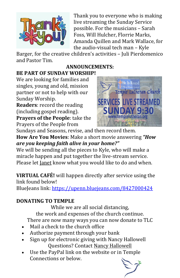

Thank you to everyone who is making live streaming the Sunday Service possible. For the musicians – Sarah Foss, Will Hulcher, Florrie Marks, Amanda Quillen and Mark Wallace, for the audio-visual tech man – Kyle

Barger, for the creative children's activities – Juli Pierdomenico and Pastor Tim.

## **ANNOUNCEMENTS:**

## **BE PART OF SUNDAY WORSHIP!**

We are looking for families and singles, young and old, mission partner or not to help with our Sunday Worship.

**Readers**: record the reading (including gospel reading). **Prayers of the People**: take the Prayers of the People from



Sundays and Seasons, revise, and then record them. **How Are You Movies**: Make a short movie answering *"How are you keeping faith alive in your home?"*

We will be sending all the pieces to Kyle, who will make a miracle happen and put together the live-stream service. Please let [Janet](mailto:temple@templelutheran.org) know what you would like to do and when.

**VIRTUAL CAFÉ!** will happen directly after service using the link found below!

BlueJeans link: <https://upenn.bluejeans.com/8427000424>

#### **DONATING TO TEMPLE**

While we are all social distancing, the work and expenses of the church continue. There are now many ways you can now donate to TLC

- Mail a check to the church office
- Authorize payment through your bank
- Sign up for electronic giving with Nancy Hallowell Questions? Contact Nancy [Hallowell](mailto:nancy.hallowell@gmail.com)
- Use the PayPal link on the website or in Temple Connections or below.

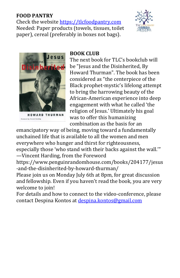#### **FOOD PANTRY**

Check the website [https://tlcfoodpantry.com](https://tlcfoodpantry.com/) Needed: Paper products (towels, tissues, toilet paper), cereal (preferably in boxes not bags).





**HOWARD THURMAN Foreword by Vincent Harding** 

#### **BOOK CLUB**

The next book for TLC's bookclub will be "Jesus and the Disinherited, By Howard Thurman". The book has been considered as "the centerpiece of the Black prophet-mystic's lifelong attempt to bring the harrowing beauty of the African-American experience into deep engagement with what he called 'the religion of Jesus.' Ultimately his goal was to offer this humanizing combination as the basis for an

emancipatory way of being, moving toward a fundamentally unchained life that is available to all the women and men everywhere who hunger and thirst for righteousness, especially those 'who stand with their backs against the wall.'" —Vincent Harding, from the Foreword

https://www.penguinrandomhouse.com/books/204177/jesus -and-the-disinherited-by-howard-thurman/

Please join us on Monday July 6th at 8pm, for great discussion and fellowship. Even if you haven't read the book, you are very welcome to join!

For details and how to connect to the video-conference, please contact Despina Kontos at [despina.kontos@gmail.com](mailto:despina.kontos@gmail.com)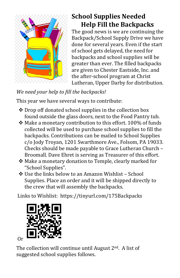

## **School Supplies Needed Help Fill the Backpacks**

The good news is we are continuing the Backpack/School Supply Drive we have done for several years. Even if the start of school gets delayed, the need for backpacks and school supplies will be greater than ever. The filled backpacks are given to Chester Eastside, Inc. and the after-school program at Christ Lutheran, Upper Darby for distribution.

#### *We need your help to fill the backpacks!*

This year we have several ways to contribute:

- $\triangle$  Drop off donated school supplies in the collection box found outside the glass doors, next to the Food Pantry tub.
- $\div$  Make a monetary contribution to this effort. 100% of funds collected will be used to purchase school supplies to fill the backpacks. Contributions can be mailed to School Supplies c/o Jody Troyan, 1201 Swarthmore Ave., Folsom, PA 19033. Checks should be made payable to Grace Lutheran Church – Broomall. Dave Ehret is serving as Treasurer of this effort.
- Make a monetary donation to Temple, clearly marked for "School Supplies".
- Use the links below to an Amazon Wishlist School Supplies. Place an order and it will be shipped directly to the crew that will assembly the backpacks.

Links to Wishlist: https://tinyurl.com/175Backpacks



The collection will continue until August  $2<sup>nd</sup>$ . A list of suggested school supplies follows.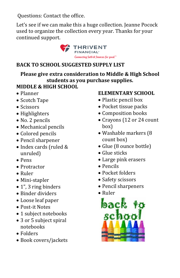Questions: Contact the office.

Let's see if we can make this a huge collection. Jeanne Pocock used to organize the collection every year. Thanks for your continued support.



#### **BACK TO SCHOOL SUGGESTED SUPPLY LIST**

**Please give extra consideration to Middle & High School students as you purchase supplies.**

#### **MIDDLE & HIGH SCHOOL**

- Planner
- Scotch Tape
- Scissors
- Highlighters
- No. 2 pencils
- Mechanical pencils
- Colored pencils
- Pencil sharpener
- Index cards (ruled & unruled)
- Pens
- Protractor
- Ruler
- Mini-stapler
- 1", 3 ring binders
- Binder dividers
- Loose leaf paper
- Post-it Notes
- 1 subject notebooks
- 3 or 5 subject spiral notebooks
- Folders
- Book covers/jackets

#### **ELEMENTARY SCHOOL**

- Plastic pencil box
- Pocket tissue packs
- Composition books
- Crayons (12 or 24 count box)
- Washable markers (8) count box)
- Glue (8 ounce bottle)
- Glue sticks
- Large pink erasers
- Pencils
- Pocket folders
- Safety scissors
- Pencil sharpeners
- Ruler

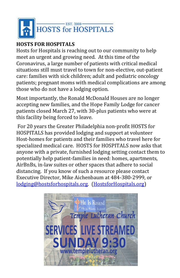

#### **HOSTS FOR HOSPITALS**

Hosts for Hospitals is reaching out to our community to help meet an urgent and growing need. At this time of the Coronavirus, a large number of patients with critical medical situations still must travel to town for non-elective, out-patient care: families with sick children; adult and pediatric oncology patients; pregnant moms with medical complications are among those who do not have a lodging option.

Most importantly, the Ronald McDonald Houses are no longer accepting new families, and the Hope Family Lodge for cancer patients closed March 27, with 30-plus patients who were at this facility being forced to leave.

For 20 years the Greater Philadelphia non-profit HOSTS for HOSPITALS has provided lodging and support at volunteer Host-homes for patients and their families who travel here for specialized medical care. HOSTS for HOSPITALS now asks that anyone with a private, furnished lodging setting contact them to potentially help patient-families in need: homes, apartments, AirBnBs, in-law suites or other spaces that adhere to social distancing. If you know of such a resource please contact Executive Director, Mike Aichenbaum at 484-380-2999, or [lodging@hostsforhospitals.org.](mailto:mike@hostsforhospitals.org) [\(HostsforHospitals.org\)](https://hostsforhospitals.org/)